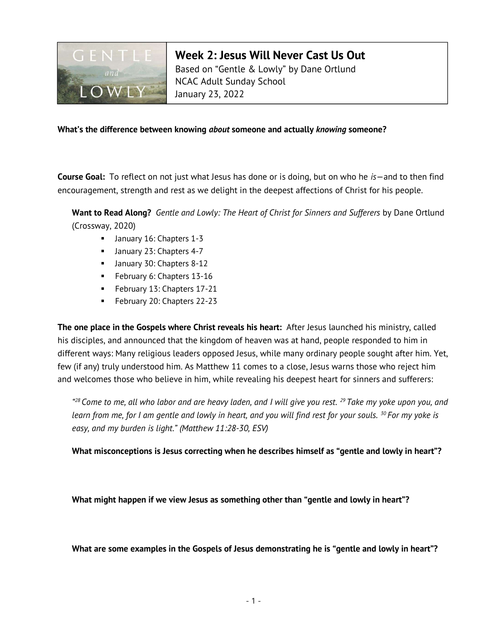

# Week 2: Jesus Will Never Cast Us Out

Based on "Gentle & Lowly" by Dane Ortlund NCAC Adult Sunday School January 23, 2022

#### What's the difference between knowing *about* someone and actually *knowing* someone?

**Course Goal:** To reflect on not just what Jesus has done or is doing, but on who he  $is$ —and to then find encouragement, strength and rest as we delight in the deepest affections of Christ for his people.

Want to Read Along? Gentle and Lowly: The Heart of Christ for Sinners and Sufferers by Dane Ortlund (Crossway, 2020)

- **January 16: Chapters 1-3**
- **January 23: Chapters 4-7**
- **January 30: Chapters 8-12**
- **February 6: Chapters 13-16**
- **February 13: Chapters 17-21**
- **February 20: Chapters 22-23**

The one place in the Gospels where Christ reveals his heart: After Jesus launched his ministry, called his disciples, and announced that the kingdom of heaven was at hand, people responded to him in different ways: Many religious leaders opposed Jesus, while many ordinary people sought after him. Yet, few (if any) truly understood him. As Matthew 11 comes to a close, Jesus warns those who reject him and welcomes those who believe in him, while revealing his deepest heart for sinners and sufferers:

<sup>428</sup> Come to me, all who labor and are heavy laden, and I will give you rest. <sup>29</sup> Take my yoke upon you, and learn from me, for I am gentle and lowly in heart, and you will find rest for your souls.  $30$  For my yoke is easy, and my burden is light." (Matthew 11:28-30, ESV)

What misconceptions is Jesus correcting when he describes himself as "gentle and lowly in heart"?

What might happen if we view Jesus as something other than "gentle and lowly in heart"?

What are some examples in the Gospels of Jesus demonstrating he is "gentle and lowly in heart"?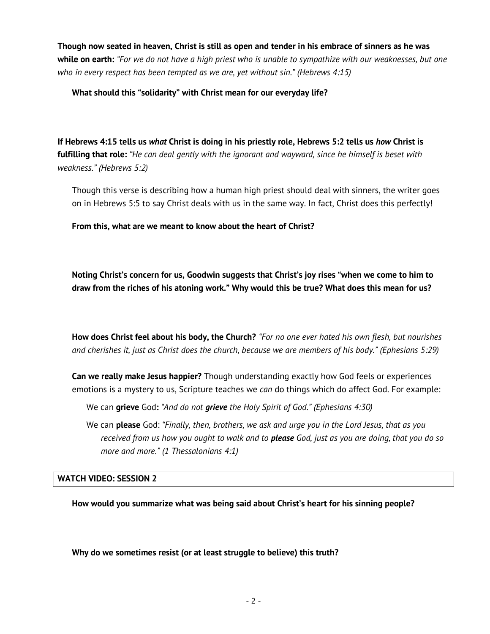Though now seated in heaven, Christ is still as open and tender in his embrace of sinners as he was while on earth: "For we do not have a high priest who is unable to sympathize with our weaknesses, but one who in every respect has been tempted as we are, yet without sin." (Hebrews 4:15)

# What should this "solidarity" with Christ mean for our everyday life?

If Hebrews 4:15 tells us what Christ is doing in his priestly role, Hebrews 5:2 tells us how Christ is fulfilling that role: "He can deal gently with the ignorant and wayward, since he himself is beset with weakness." (Hebrews 5:2)

Though this verse is describing how a human high priest should deal with sinners, the writer goes on in Hebrews 5:5 to say Christ deals with us in the same way. In fact, Christ does this perfectly!

From this, what are we meant to know about the heart of Christ?

Noting Christ's concern for us, Goodwin suggests that Christ's joy rises "when we come to him to draw from the riches of his atoning work." Why would this be true? What does this mean for us?

How does Christ feel about his body, the Church? "For no one ever hated his own flesh, but nourishes and cherishes it, just as Christ does the church, because we are members of his body." (Ephesians 5:29)

**Can we really make Jesus happier?** Though understanding exactly how God feels or experiences emotions is a mystery to us, Scripture teaches we *can* do things which do affect God. For example:

We can grieve God: "And do not grieve the Holy Spirit of God." (Ephesians 4:30)

We can **please** God: "Finally, then, brothers, we ask and urge you in the Lord Jesus, that as you received from us how you ought to walk and to **please** God, just as you are doing, that you do so more and more." (1 Thessalonians 4:1)

WATCH VIDEO: SESSION 2

How would you summarize what was being said about Christ's heart for his sinning people?

Why do we sometimes resist (or at least struggle to believe) this truth?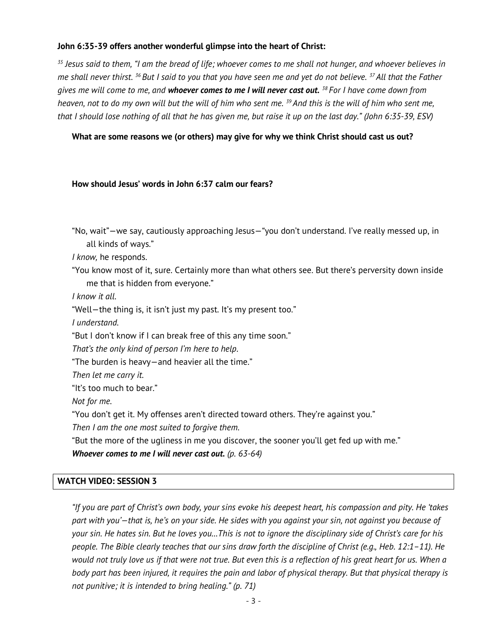# John 6:35-39 offers another wonderful glimpse into the heart of Christ:

 $35$  Jesus said to them, "I am the bread of life; whoever comes to me shall not hunger, and whoever believes in me shall never thirst.  $36$  But I said to you that you have seen me and yet do not believe.  $37$  All that the Father gives me will come to me, and **whoever comes to me I will never cast out.**  $38$  For I have come down from heaven, not to do my own will but the will of him who sent me.  $^{39}$  And this is the will of him who sent me, that I should lose nothing of all that he has given me, but raise it up on the last day." (John 6:35-39, ESV)

# What are some reasons we (or others) may give for why we think Christ should cast us out?

#### How should Jesus' words in John 6:37 calm our fears?

"No, wait"—we say, cautiously approaching Jesus—"you don't understand. I've really messed up, in all kinds of ways."

I know, he responds.

"You know most of it, sure. Certainly more than what others see. But there's perversity down inside me that is hidden from everyone."

I know it all.

"Well—the thing is, it isn't just my past. It's my present too."

I understand.

"But I don't know if I can break free of this any time soon."

That's the only kind of person I'm here to help.

"The burden is heavy—and heavier all the time."

Then let me carry it.

"It's too much to bear."

Not for me.

"You don't get it. My offenses aren't directed toward others. They're against you."

Then I am the one most suited to forgive them.

"But the more of the ugliness in me you discover, the sooner you'll get fed up with me."

Whoever comes to me I will never cast out.  $(p. 63-64)$ 

# WATCH VIDEO: SESSION 3

"If you are part of Christ's own body, your sins evoke his deepest heart, his compassion and pity. He 'takes part with you'—that is, he's on your side. He sides with you against your sin, not against you because of your sin. He hates sin. But he loves you…This is not to ignore the disciplinary side of Christ's care for his people. The Bible clearly teaches that our sins draw forth the discipline of Christ (e.g., Heb. 12:1–11). He would not truly love us if that were not true. But even this is a reflection of his great heart for us. When a body part has been injured, it requires the pain and labor of physical therapy. But that physical therapy is not punitive; it is intended to bring healing." (p. 71)